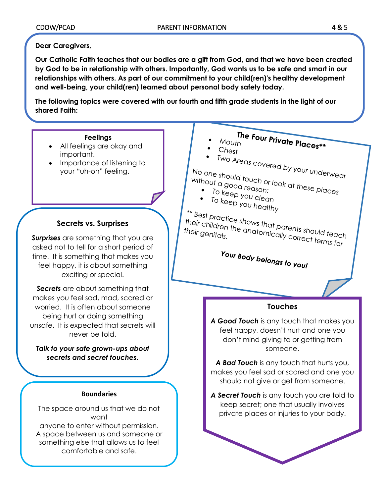# **Dear Caregivers,**

**Our Catholic Faith teaches that our bodies are a gift from God, and that we have been created by God to be in relationship with others. Importantly, God wants us to be safe and smart in our relationships with others. As part of our commitment to your child(ren)'s healthy development and well-being, your child(ren) learned about personal body safety today.** 

**The following topics were covered with our fourth and fifth grade students in the light of our shared Faith:**